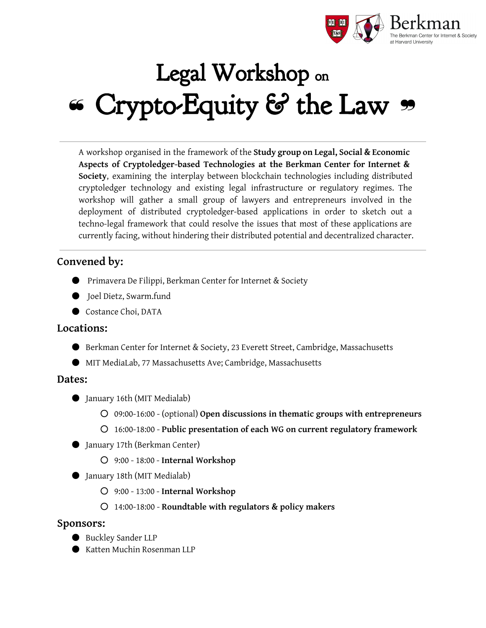

# Legal Workshop on ❝ Crypto-Equity & the Law ❞

A workshop organised in the framework of the **Study group on Legal, Social & Economic Aspects of Cryptoledger-based Technologies at the Berkman Center for Internet & Society**, examining the interplay between blockchain technologies including distributed cryptoledger technology and existing legal infrastructure or regulatory regimes. The workshop will gather a small group of lawyers and entrepreneurs involved in the deployment of distributed cryptoledger-based applications in order to sketch out a techno-legal framework that could resolve the issues that most of these applications are currently facing, without hindering their distributed potential and decentralized character.

# **Convened by:**

- Primavera De Filippi, Berkman Center for Internet & Society
- Joel Dietz, Swarm.fund
- Costance Choi, DATA

## **Locations:**

- Berkman Center for Internet & Society, 23 Everett Street, Cambridge, Massachusetts
- MIT MediaLab, 77 Massachusetts Ave; Cambridge, Massachusetts

## **Dates:**

- January 16th (MIT Medialab)
	- 09:00-16:00 (optional) **Open discussions in thematic groups with entrepreneurs**
	- 16:00-18:00 **Public presentation of each WG on current regulatory framework**
- January 17th (Berkman Center)
	- 9:00 18:00 **Internal Workshop**
- January 18th (MIT Medialab)
	- 9:00 13:00 **Internal Workshop**
	- 14:00-18:00 **Roundtable with regulators & policy makers**

## **Sponsors:**

- Buckley Sander LLP
- Katten Muchin Rosenman LLP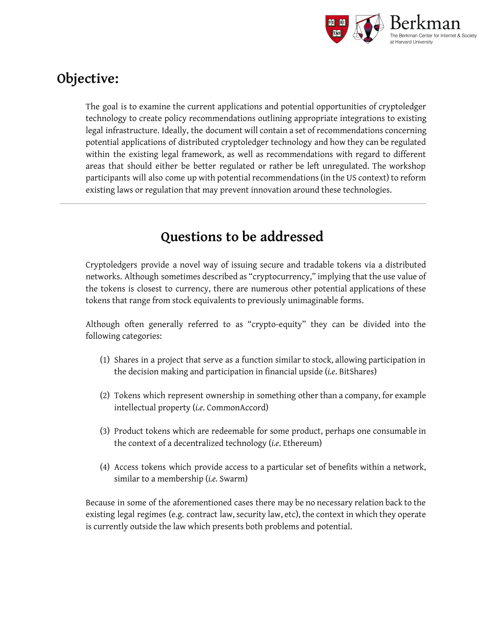

# **Objective:**

The goal is to examine the current applications and potential opportunities of cryptoledger technology to create policy recommendations outlining appropriate integrations to existing legal infrastructure. Ideally, the document will contain a set of recommendations concerning potential applications of distributed cryptoledger technology and how they can be regulated within the existing legal framework, as well as recommendations with regard to different areas that should either be better regulated or rather be left unregulated. The workshop participants will also come up with potential recommendations (in the US context) to reform existing laws or regulation that may prevent innovation around these technologies.

# **Questions to be addressed**

Cryptoledgers provide a novel way of issuing secure and tradable tokens via a distributed networks. Although sometimes described as "cryptocurrency," implying that the use value of the tokens is closest to currency, there are numerous other potential applications of these tokens that range from stock equivalents to previously unimaginable forms.

Although often generally referred to as "crypto-equity" they can be divided into the following categories:

- (1) Shares in a project that serve as a function similar to stock, allowing participation in the decision making and participation in financial upside (*i.e*. BitShares)
- (2) Tokens which represent ownership in something other than a company, for example intellectual property (*i.e*. CommonAccord)
- (3) Product tokens which are redeemable for some product, perhaps one consumable in the context of a decentralized technology (*i.e*. Ethereum)
- (4) Access tokens which provide access to a particular set of benefits within a network, similar to a membership (*i.e.* Swarm)

Because in some of the aforementioned cases there may be no necessary relation back to the existing legal regimes (e.g. contract law, security law, etc), the context in which they operate is currently outside the law which presents both problems and potential.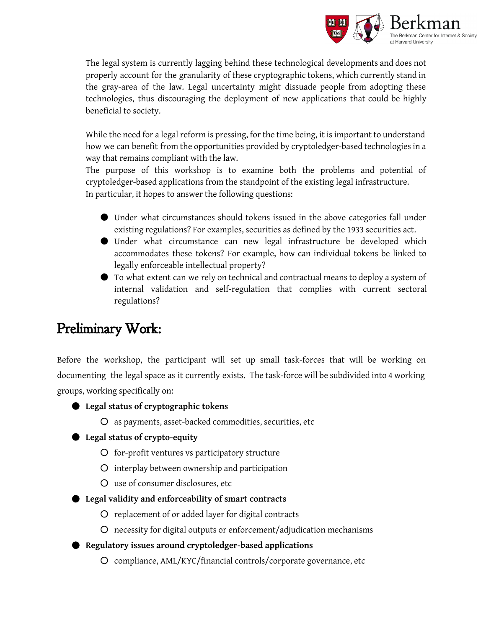

The legal system is currently lagging behind these technological developments and does not properly account for the granularity of these cryptographic tokens, which currently stand in the gray-area of the law. Legal uncertainty might dissuade people from adopting these technologies, thus discouraging the deployment of new applications that could be highly beneficial to society.

While the need for a legal reform is pressing, for the time being, it is important to understand how we can benefit from the opportunities provided by cryptoledger-based technologies in a way that remains compliant with the law.

The purpose of this workshop is to examine both the problems and potential of cryptoledger-based applications from the standpoint of the existing legal infrastructure. In particular, it hopes to answer the following questions:

- Under what circumstances should tokens issued in the above categories fall under existing regulations? For examples, securities as defined by the 1933 securities act.
- Under what circumstance can new legal infrastructure be developed which accommodates these tokens? For example, how can individual tokens be linked to legally enforceable intellectual property?
- To what extent can we rely on technical and contractual means to deploy a system of internal validation and self-regulation that complies with current sectoral regulations?

# Preliminary Work:

Before the workshop, the participant will set up small task-forces that will be working on documenting the legal space as it currently exists. The task-force will be subdivided into 4 working groups, working specifically on:

- **Legal status of cryptographic tokens**
	- as payments, asset-backed commodities, securities, etc

## ● **Legal status of crypto-equity**

- for-profit ventures vs participatory structure
- interplay between ownership and participation
- use of consumer disclosures, etc
- **Legal validity and enforceability of smart contracts**
	- replacement of or added layer for digital contracts
	- necessity for digital outputs or enforcement/adjudication mechanisms
- **Regulatory issues around cryptoledger-based applications**
	- compliance, AML/KYC/financial controls/corporate governance, etc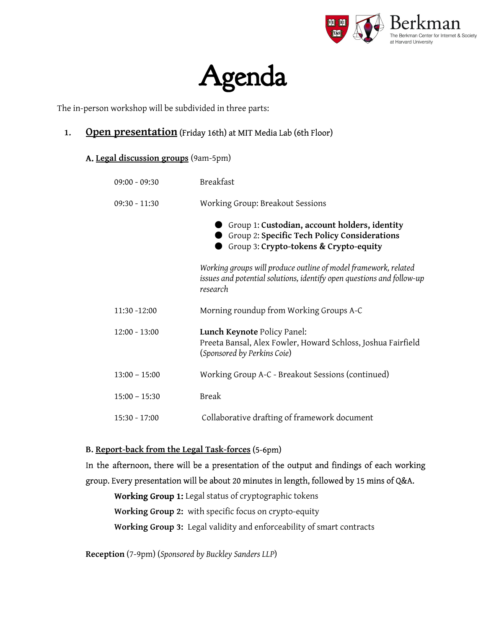

# Agenda

The in-person workshop will be subdivided in three parts:

## **1. Open presentation**(Friday 16th) at MIT Media Lab (6th Floor)

**A. Legal discussion groups**(9am-5pm)

| $09:00 - 09:30$ | <b>Breakfast</b>                                                                                                                                     |
|-----------------|------------------------------------------------------------------------------------------------------------------------------------------------------|
| $09:30 - 11:30$ | Working Group: Breakout Sessions                                                                                                                     |
|                 | Group 1: Custodian, account holders, identity<br>Group 2: Specific Tech Policy Considerations<br>Group 3: Crypto-tokens & Crypto-equity              |
|                 | Working groups will produce outline of model framework, related<br>issues and potential solutions, identify open questions and follow-up<br>research |
| $11:30 - 12:00$ | Morning roundup from Working Groups A-C                                                                                                              |
| $12:00 - 13:00$ | Lunch Keynote Policy Panel:<br>Preeta Bansal, Alex Fowler, Howard Schloss, Joshua Fairfield<br>(Sponsored by Perkins Coie)                           |
| $13:00 - 15:00$ | Working Group A-C - Breakout Sessions (continued)                                                                                                    |
| $15:00 - 15:30$ | <b>Break</b>                                                                                                                                         |
| $15:30 - 17:00$ | Collaborative drafting of framework document                                                                                                         |

## **B. Report-back from the Legal Task-forces**(5-6pm)

# In the afternoon, there will be a presentation of the output and findings of each working group. Every presentation will be about 20 minutes in length, followed by 15 mins of Q&A.

**Working Group 1:** Legal status of cryptographic tokens **Working Group 2:** with specific focus on crypto-equity **Working Group 3:** Legal validity and enforceability of smart contracts

**Reception**(7-9pm) (*Sponsored by Buckley Sanders LLP*)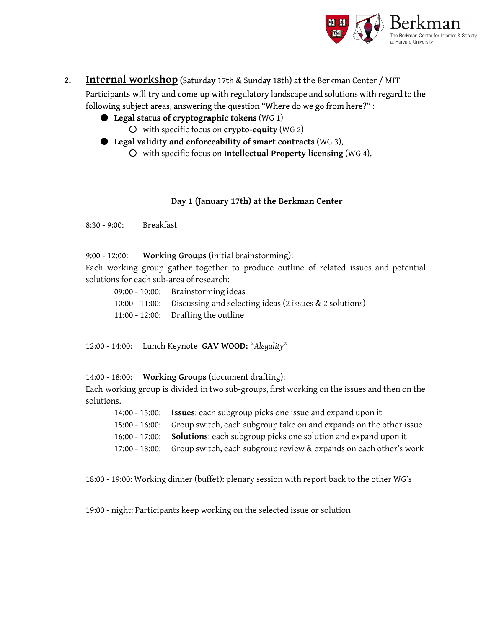

**2. Internal workshop**(Saturday 17th & Sunday 18th) at the Berkman Center / MIT Participants will try and come up with regulatory landscape and solutions with regard to the

following subject areas, answering the question "Where do we go from here?" :

- **Legal status of cryptographic tokens**(WG 1)
	- with specific focus on **crypto-equity**(WG 2)
- **Legal validity and enforceability ofsmart contracts**(WG 3),
	- with specific focus on **Intellectual Property licensing**(WG 4).

#### **Day 1 (January 17th) at the Berkman Center**

8:30 - 9:00: Breakfast

9:00 - 12:00: **Working Groups** (initial brainstorming):

Each working group gather together to produce outline of related issues and potential solutions for each sub-area of research:

| 09:00 - 10:00: Brainstorming ideas                                     |
|------------------------------------------------------------------------|
| 10:00 - 11:00: Discussing and selecting ideas (2 issues & 2 solutions) |
| 11:00 - 12:00: Drafting the outline                                    |

12:00 - 14:00: Lunch Keynote **GAV WOOD:** "*Alegality"*

14:00 - 18:00: **Working Groups** (document drafting):

Each working group is divided in two sub-groups, first working on the issues and then on the solutions.

| 14:00 - 15:00: Issues: each subgroup picks one issue and expand upon it           |
|-----------------------------------------------------------------------------------|
| 15:00 - 16:00: Group switch, each subgroup take on and expands on the other issue |
| 16:00 - 17:00: Solutions: each subgroup picks one solution and expand upon it     |
| 17:00 - 18:00: Group switch, each subgroup review & expands on each other's work  |

18:00 - 19:00: Working dinner (buffet): plenary session with report back to the other WG's

19:00 - night: Participants keep working on the selected issue or solution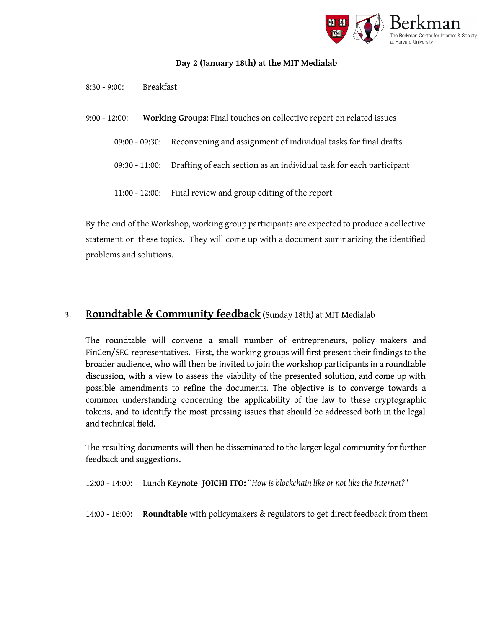

#### **Day 2 (January 18th) at the MIT Medialab**

- 8:30 9:00: Breakfast
- 9:00 12:00: **Working Groups**: Final touches on collective report on related issues
	- 09:00 09:30: Reconvening and assignment of individual tasks for final drafts
	- 09:30 11:00: Drafting of each section as an individual task for each participant
	- 11:00 12:00: Final review and group editing of the report

By the end of the Workshop, working group participants are expected to produce a collective statement on these topics. They will come up with a document summarizing the identified problems and solutions.

## 3. **Roundtable & Community feedback**(Sunday 18th) at MIT Medialab

The roundtable will convene a small number of entrepreneurs, policy makers and FinCen/SEC representatives. First, the working groups will first present their findings to the broader audience, who will then be invited to join the workshop participants in a roundtable discussion, with a view to assess the viability of the presented solution, and come up with possible amendments to refine the documents. The objective is to converge towards a common understanding concerning the applicability of the law to these cryptographic tokens, and to identify the most pressing issues that should be addressed both in the legal and technical field.

The resulting documents will then be disseminated to the larger legal community for further feedback and suggestions.

12:00 - 14:00: Lunch Keynote **JOICHI ITO:**"*How is blockchain like or not like the Internet?"*

14:00 - 16:00: **Roundtable**with policymakers & regulators to get direct feedback from them